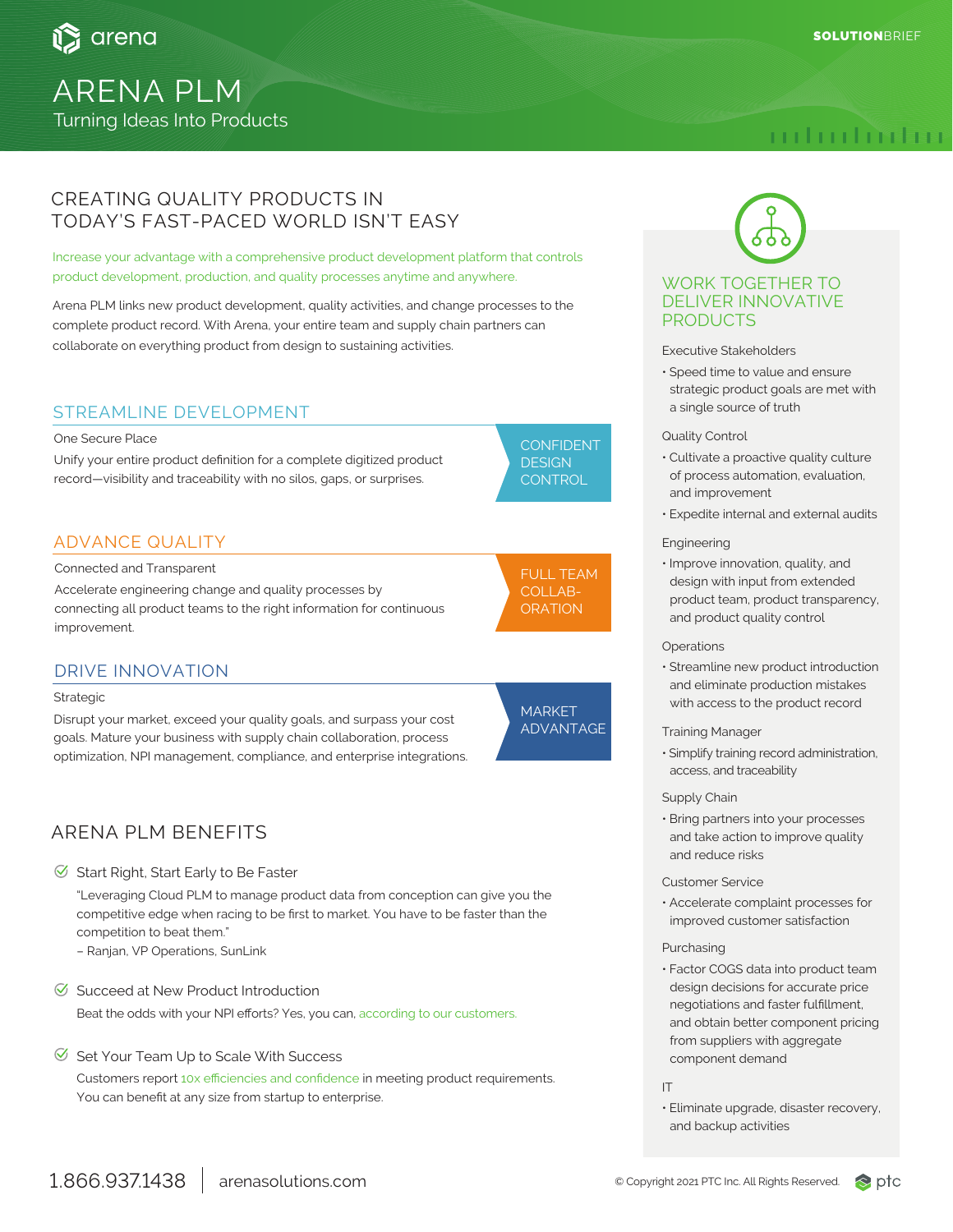

# ARENA PLM Turning Ideas Into Products

# mhuhidur

## CREATING QUALITY PRODUCTS IN TODAY'S FAST-PACED WORLD ISN'T EASY

Increase your advantage with a comprehensive product development platform that controls product development, production, and quality processes anytime and anywhere.

Arena PLM links new product development, quality activities, and change processes to the complete product record. With Arena, your entire team and supply chain partners can collaborate on everything product from design to sustaining activities.

### STREAMLINE DEVELOPMENT

#### One Secure Place

Unify your entire product definition for a complete digitized product record—visibility and traceability with no silos, gaps, or surprises.

## ADVANCE QUALITY

Connected and Transparent

Accelerate engineering change and quality processes by connecting all product teams to the right information for continuous improvement.

## DRIVE INNOVATION

#### Strategic

Disrupt your market, exceed your quality goals, and surpass your cost goals. Mature your business with supply chain collaboration, process optimization, NPI management, compliance, and enterprise integrations.

# ARENA PLM BENEFITS

#### $\heartsuit$  Start Right, Start Early to Be Faster

"Leveraging Cloud PLM to manage product data from conception can give you the competitive edge when racing to be first to market. You have to be faster than the competition to beat them."

- Ranjan, VP Operations, SunLink
- $\heartsuit$  Succeed at New Product Introduction Beat the odds with your NPI efforts? Yes, you can, according to our customers.
- $\heartsuit$  Set Your Team Up to Scale With Success

Customers report 10x efficiencies and confidence in meeting product requirements. You can benefit at any size from startup to enterprise.



**CONTROL** 

## FULL TEAM COLLAB-**ORATION**

**MARKET** ADVANTAGE

# WORK TOGETHER TO DELIVER INNOVATIVE PRODUCTS

#### Executive Stakeholders

• Speed time to value and ensure strategic product goals are met with a single source of truth

### Quality Control

- Cultivate a proactive quality culture of process automation, evaluation, and improvement
- Expedite internal and external audits

#### Engineering

• Improve innovation, quality, and design with input from extended product team, product transparency, and product quality control

#### **Operations**

- Streamline new product introduction and eliminate production mistakes with access to the product record
- Training Manager
- Simplify training record administration, access, and traceability

### Supply Chain

• Bring partners into your processes and take action to improve quality and reduce risks

#### Customer Service

• Accelerate complaint processes for improved customer satisfaction

#### Purchasing

• Factor COGS data into product team design decisions for accurate price negotiations and faster fulfillment, and obtain better component pricing from suppliers with aggregate component demand

IT

• Eliminate upgrade, disaster recovery, and backup activities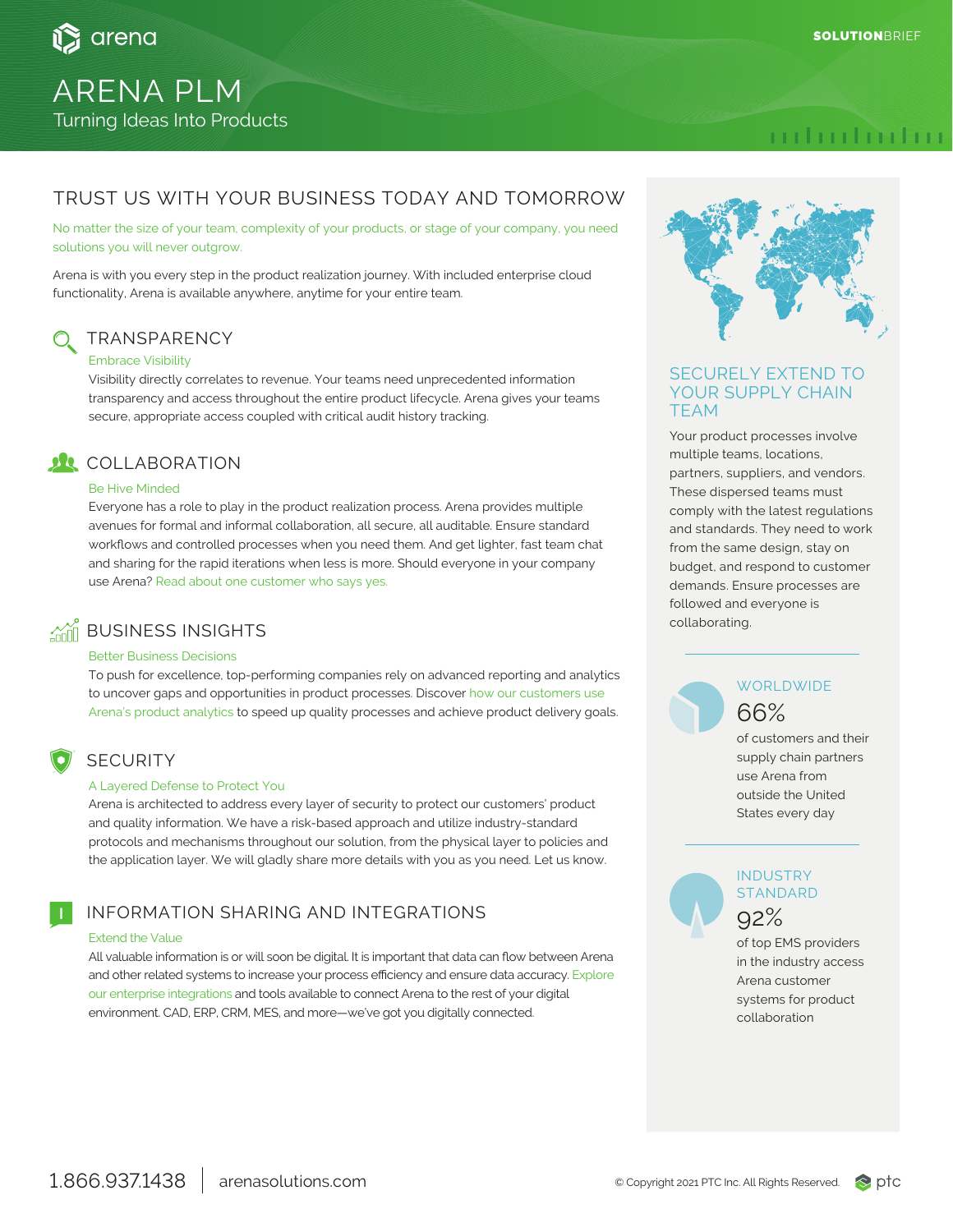

# ARENA PLM Turning Ideas Into Products

# mhuhidur

# TRUST US WITH YOUR BUSINESS TODAY AND TOMORROW

No matter the size of your team, complexity of your products, or stage of your company, you need solutions you will never outgrow.

Arena is with you every step in the product realization journey. With included enterprise cloud functionality, Arena is available anywhere, anytime for your entire team.

# **TRANSPARENCY**

### Embrace Visibility

Visibility directly correlates to revenue. Your teams need unprecedented information transparency and access throughout the entire product lifecycle. Arena gives your teams secure, appropriate access coupled with critical audit history tracking.

# *DR* COLLABORATION

#### Be Hive Minded

Everyone has a role to play in the product realization process. Arena provides multiple avenues for formal and informal collaboration, all secure, all auditable. Ensure standard workflows and controlled processes when you need them. And get lighter, fast team chat and sharing for the rapid iterations when less is more. Should everyone in your company use Arena? Read about one customer who says yes.

# **AND BUSINESS INSIGHTS**

### Better Business Decisions

To push for excellence, top-performing companies rely on advanced reporting and analytics to uncover gaps and opportunities in product processes. Discover how our customers use Arena's product analytics to speed up quality processes and achieve product delivery goals.

## SECURITY

### A Layered Defense to Protect You

Arena is architected to address every layer of security to protect our customers' product and quality information. We have a risk-based approach and utilize industry-standard protocols and mechanisms throughout our solution, from the physical layer to policies and the application layer. We will gladly share more details with you as you need. Let us know.

## INFORMATION SHARING AND INTEGRATIONS

#### Extend the Value

All valuable information is or will soon be digital. It is important that data can flow between Arena and other related systems to increase your process efficiency and ensure data accuracy. Explore our enterprise integrations and tools available to connect Arena to the rest of your digital environment. CAD, ERP, CRM, MES, and more—we've got you digitally connected.



### SECURELY EXTEND TO YOUR SUPPLY CHAIN TEAM

Your product processes involve multiple teams, locations, partners, suppliers, and vendors. These dispersed teams must comply with the latest regulations and standards. They need to work from the same design, stay on budget, and respond to customer demands. Ensure processes are followed and everyone is collaborating.

## **WORLDWIDE** 66%

of customers and their supply chain partners use Arena from outside the United States every day

# **INDUSTRY STANDARD** 92%

of top EMS providers in the industry access Arena customer systems for product collaboration